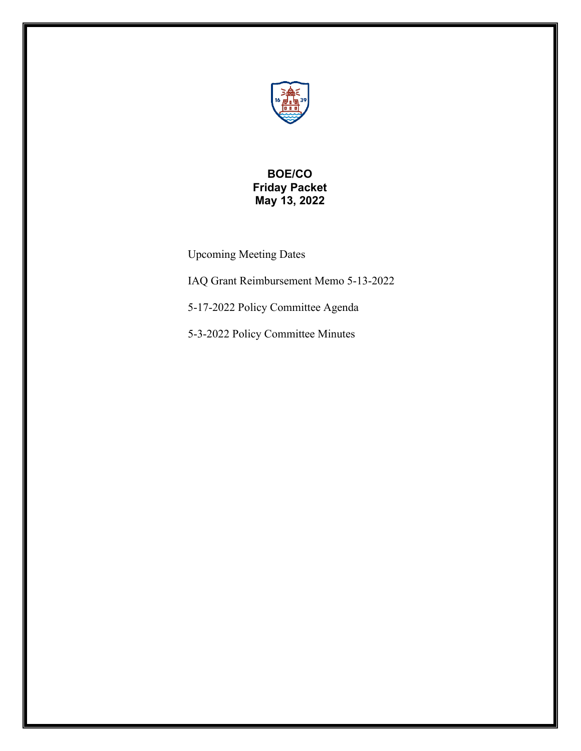

# **BOE/CO Friday Packet May 13, 2022**

Upcoming Meeting Dates

IAQ Grant Reimbursement Memo 5-13-2022

5-17-2022 Policy Committee Agenda

5-3-2022 Policy Committee Minutes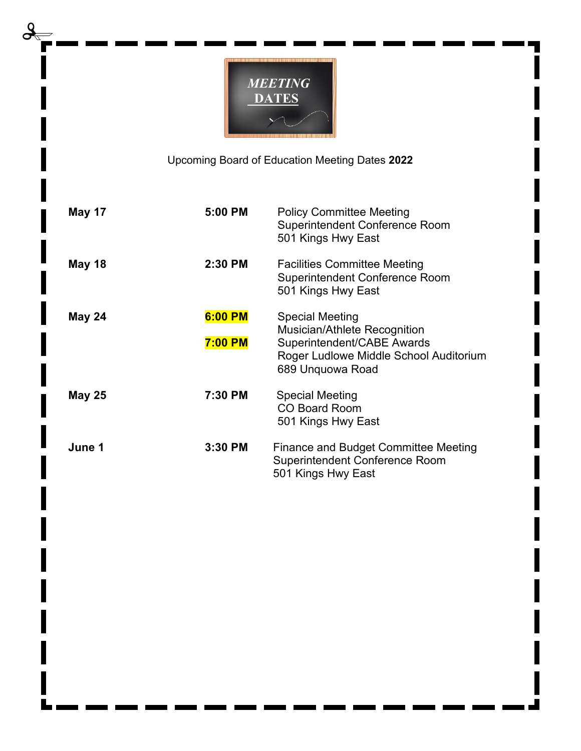

Upcoming Board of Education Meeting Dates **2022**

| <b>May 17</b> | 5:00 PM                   | <b>Policy Committee Meeting</b><br><b>Superintendent Conference Room</b><br>501 Kings Hwy East                                              |
|---------------|---------------------------|---------------------------------------------------------------------------------------------------------------------------------------------|
| May 18        | 2:30 PM                   | <b>Facilities Committee Meeting</b><br><b>Superintendent Conference Room</b><br>501 Kings Hwy East                                          |
| May 24        | 6:00 PM<br><b>7:00 PM</b> | Special Meeting<br>Musician/Athlete Recognition<br>Superintendent/CABE Awards<br>Roger Ludlowe Middle School Auditorium<br>689 Unquowa Road |
| <b>May 25</b> | 7:30 PM                   | <b>Special Meeting</b><br><b>CO Board Room</b><br>501 Kings Hwy East                                                                        |
| June 1        | 3:30 PM                   | Finance and Budget Committee Meeting<br><b>Superintendent Conference Room</b><br>501 Kings Hwy East                                         |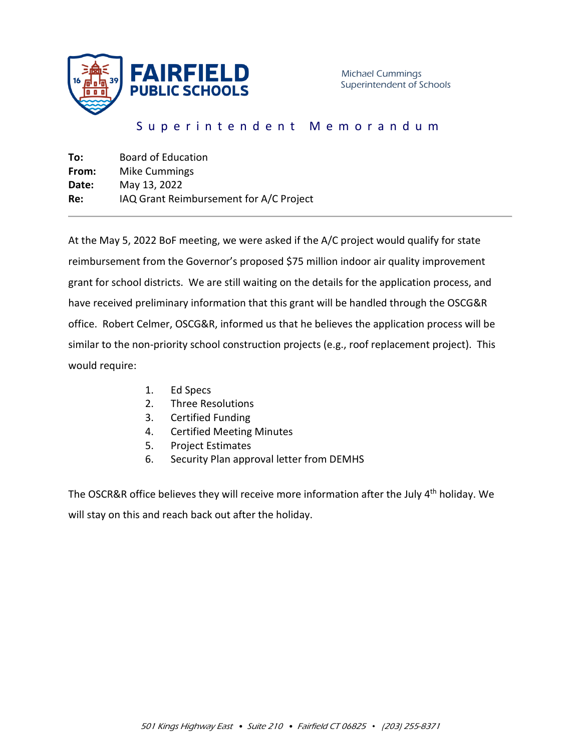

# Superintendent Memorandum

| Board of Education                      |
|-----------------------------------------|
| Mike Cummings                           |
| May 13, 2022                            |
| IAQ Grant Reimbursement for A/C Project |
|                                         |

At the May 5, 2022 BoF meeting, we were asked if the A/C project would qualify for state reimbursement from the Governor's proposed \$75 million indoor air quality improvement grant for school districts. We are still waiting on the details for the application process, and have received preliminary information that this grant will be handled through the OSCG&R office. Robert Celmer, OSCG&R, informed us that he believes the application process will be similar to the non-priority school construction projects (e.g., roof replacement project). This would require:

- 1. Ed Specs
- 2. Three Resolutions
- 3. Certified Funding
- 4. Certified Meeting Minutes
- 5. Project Estimates
- 6. Security Plan approval letter from DEMHS

The OSCR&R office believes they will receive more information after the July 4<sup>th</sup> holiday. We will stay on this and reach back out after the holiday.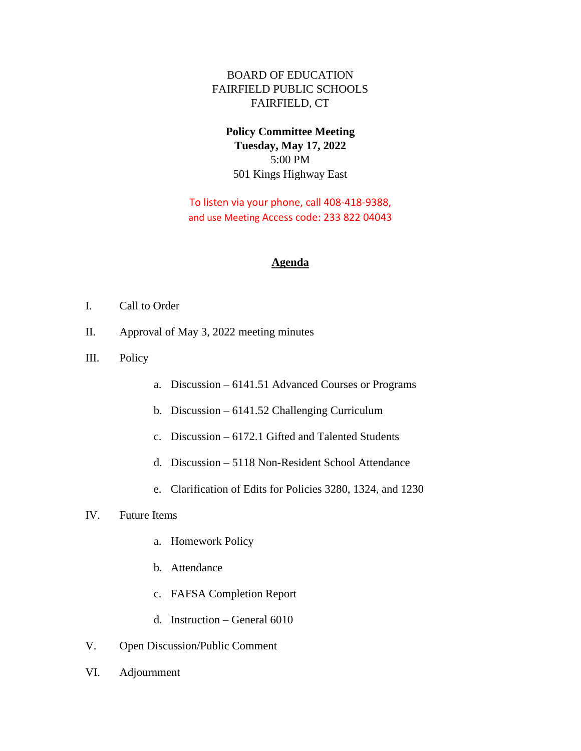## BOARD OF EDUCATION FAIRFIELD PUBLIC SCHOOLS FAIRFIELD, CT

## **Policy Committee Meeting Tuesday, May 17, 2022** 5:00 PM 501 Kings Highway East

To listen via your phone, call 408-418-9388, and use Meeting Access code: 233 822 04043

#### **Agenda**

- I. Call to Order
- II. Approval of May 3, 2022 meeting minutes
- III. Policy
- a. Discussion 6141.51 Advanced Courses or Programs
- b. Discussion 6141.52 Challenging Curriculum
- c. Discussion 6172.1 Gifted and Talented Students
- d. Discussion 5118 Non-Resident School Attendance
- e. Clarification of Edits for Policies 3280, 1324, and 1230

#### IV. Future Items

- a. Homework Policy
- b. Attendance
- c. FAFSA Completion Report
- d. Instruction General 6010
- V. Open Discussion/Public Comment
- VI. Adjournment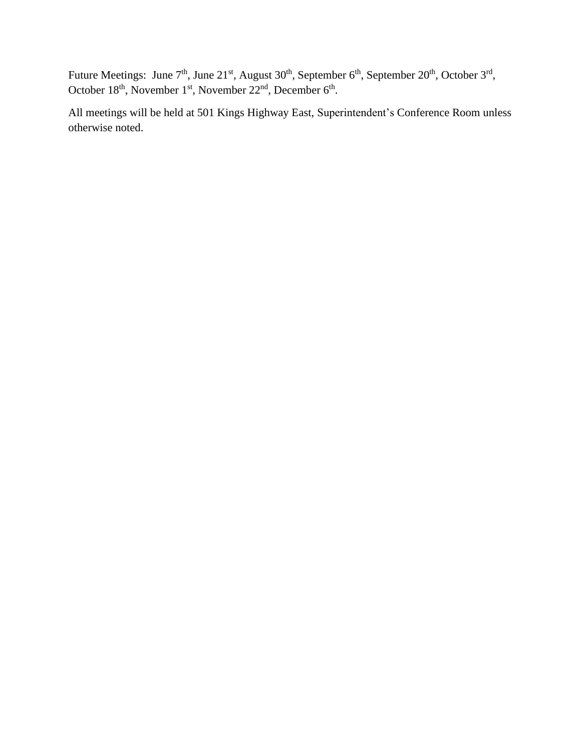Future Meetings: June  $7<sup>th</sup>$ , June  $21<sup>st</sup>$ , August  $30<sup>th</sup>$ , September  $6<sup>th</sup>$ , September  $20<sup>th</sup>$ , October  $3<sup>rd</sup>$ , October  $18<sup>th</sup>$ , November  $1<sup>st</sup>$ , November  $22<sup>nd</sup>$ , December  $6<sup>th</sup>$ .

All meetings will be held at 501 Kings Highway East, Superintendent's Conference Room unless otherwise noted.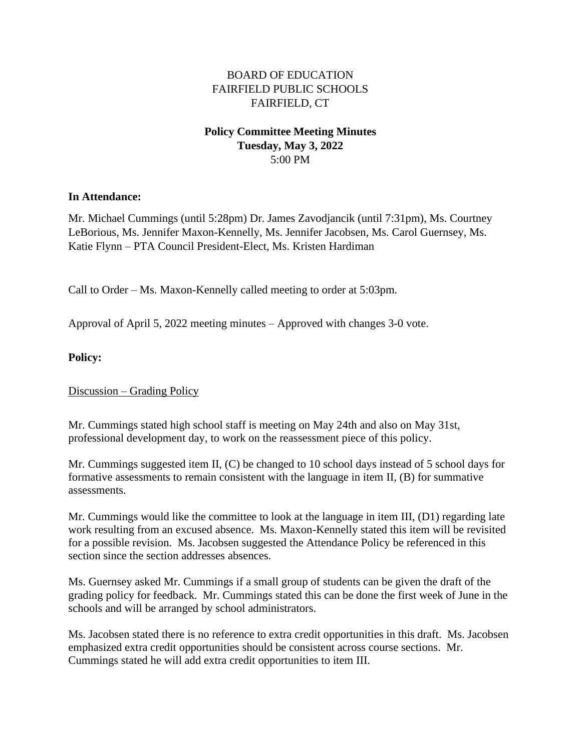## BOARD OF EDUCATION FAIRFIELD PUBLIC SCHOOLS FAIRFIELD, CT

## **Policy Committee Meeting Minutes Tuesday, May 3, 2022** 5:00 PM

#### **In Attendance:**

Mr. Michael Cummings (until 5:28pm) Dr. James Zavodjancik (until 7:31pm), Ms. Courtney LeBorious, Ms. Jennifer Maxon-Kennelly, Ms. Jennifer Jacobsen, Ms. Carol Guernsey, Ms. Katie Flynn – PTA Council President-Elect, Ms. Kristen Hardiman

Call to Order – Ms. Maxon-Kennelly called meeting to order at 5:03pm.

Approval of April 5, 2022 meeting minutes – Approved with changes 3-0 vote.

#### **Policy:**

Discussion – Grading Policy

Mr. Cummings stated high school staff is meeting on May 24th and also on May 31st, professional development day, to work on the reassessment piece of this policy.

Mr. Cummings suggested item II, (C) be changed to 10 school days instead of 5 school days for formative assessments to remain consistent with the language in item II, (B) for summative assessments.

Mr. Cummings would like the committee to look at the language in item III, (D1) regarding late work resulting from an excused absence. Ms. Maxon-Kennelly stated this item will be revisited for a possible revision. Ms. Jacobsen suggested the Attendance Policy be referenced in this section since the section addresses absences.

Ms. Guernsey asked Mr. Cummings if a small group of students can be given the draft of the grading policy for feedback. Mr. Cummings stated this can be done the first week of June in the schools and will be arranged by school administrators.

Ms. Jacobsen stated there is no reference to extra credit opportunities in this draft. Ms. Jacobsen emphasized extra credit opportunities should be consistent across course sections. Mr. Cummings stated he will add extra credit opportunities to item III.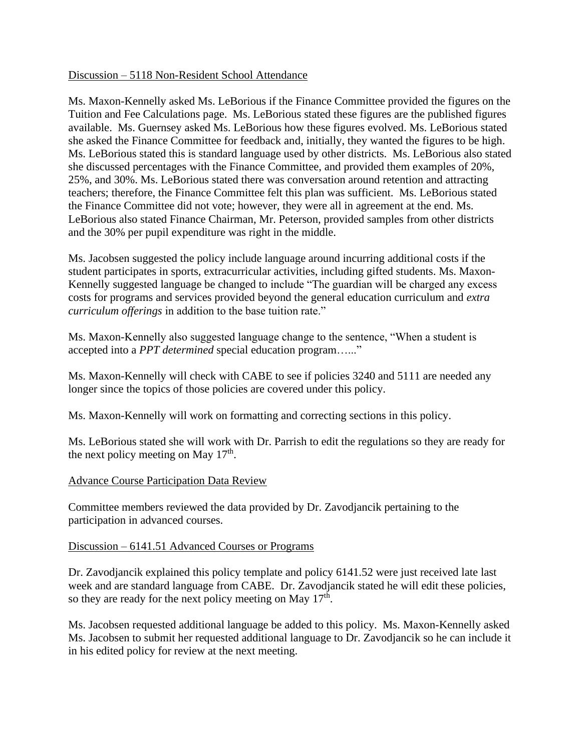#### Discussion – 5118 Non-Resident School Attendance

Ms. Maxon-Kennelly asked Ms. LeBorious if the Finance Committee provided the figures on the Tuition and Fee Calculations page. Ms. LeBorious stated these figures are the published figures available. Ms. Guernsey asked Ms. LeBorious how these figures evolved. Ms. LeBorious stated she asked the Finance Committee for feedback and, initially, they wanted the figures to be high. Ms. LeBorious stated this is standard language used by other districts. Ms. LeBorious also stated she discussed percentages with the Finance Committee, and provided them examples of 20%, 25%, and 30%. Ms. LeBorious stated there was conversation around retention and attracting teachers; therefore, the Finance Committee felt this plan was sufficient. Ms. LeBorious stated the Finance Committee did not vote; however, they were all in agreement at the end. Ms. LeBorious also stated Finance Chairman, Mr. Peterson, provided samples from other districts and the 30% per pupil expenditure was right in the middle.

Ms. Jacobsen suggested the policy include language around incurring additional costs if the student participates in sports, extracurricular activities, including gifted students. Ms. Maxon-Kennelly suggested language be changed to include "The guardian will be charged any excess costs for programs and services provided beyond the general education curriculum and *extra curriculum offerings* in addition to the base tuition rate."

Ms. Maxon-Kennelly also suggested language change to the sentence, "When a student is accepted into a *PPT determined* special education program…..."

Ms. Maxon-Kennelly will check with CABE to see if policies 3240 and 5111 are needed any longer since the topics of those policies are covered under this policy.

Ms. Maxon-Kennelly will work on formatting and correcting sections in this policy.

Ms. LeBorious stated she will work with Dr. Parrish to edit the regulations so they are ready for the next policy meeting on May  $17<sup>th</sup>$ .

#### Advance Course Participation Data Review

Committee members reviewed the data provided by Dr. Zavodjancik pertaining to the participation in advanced courses.

#### Discussion – 6141.51 Advanced Courses or Programs

Dr. Zavodjancik explained this policy template and policy 6141.52 were just received late last week and are standard language from CABE. Dr. Zavodjancik stated he will edit these policies, so they are ready for the next policy meeting on May  $17<sup>th</sup>$ .

Ms. Jacobsen requested additional language be added to this policy. Ms. Maxon-Kennelly asked Ms. Jacobsen to submit her requested additional language to Dr. Zavodjancik so he can include it in his edited policy for review at the next meeting.